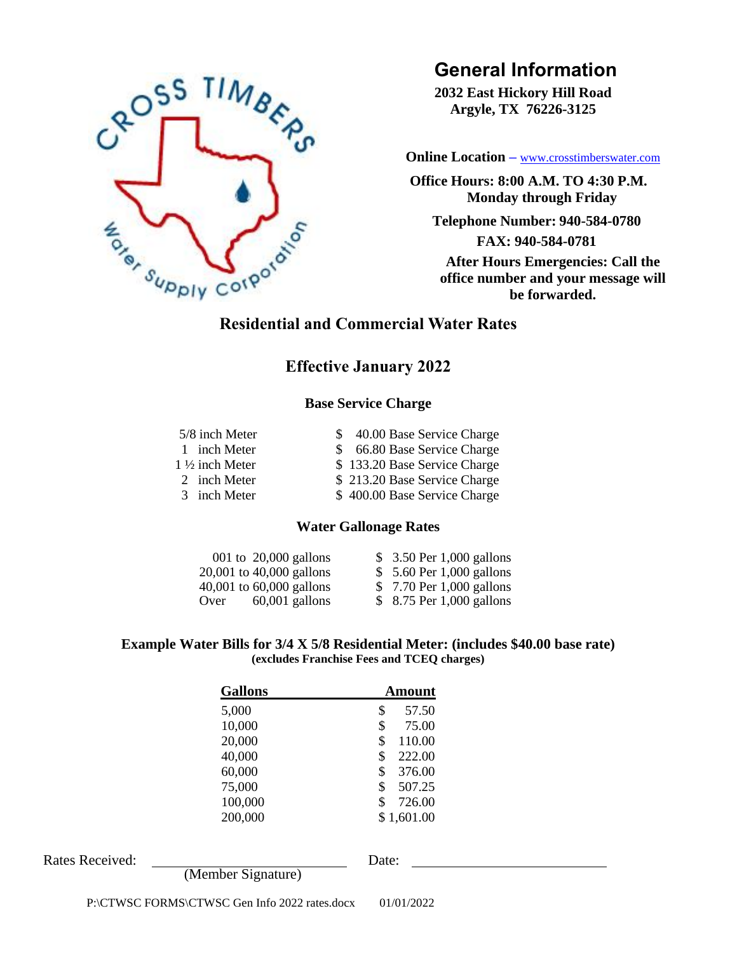

# **General Information**

**2032 East Hickory Hill Road Argyle, TX 76226-3125**

 **[Online Location](http://www.crosstimberswater.com/) –** [www.crosstimberswater.com](http://www.crosstimberswater.com/)

**Office Hours: 8:00 A.M. TO 4:30 P.M. Monday through Friday**

**Telephone Number: 940-584-0780**

**FAX: 940-584-0781 After Hours Emergencies: Call the office number and your message will be forwarded.**

# **Effective January 2022**

## **Base Service Charge**

| 5/8 inch Meter            | \$ 40.00 Base Service Charge |
|---------------------------|------------------------------|
| 1 inch Meter              | \$ 66.80 Base Service Charge |
| $1\frac{1}{2}$ inch Meter | \$133.20 Base Service Charge |
| 2 inch Meter              | \$213.20 Base Service Charge |
| 3 inch Meter              | \$400.00 Base Service Charge |

#### **Water Gallonage Rates**

| 001 to $20,000$ gallons      | \$ 3.50 Per 1,000 gallons |  |
|------------------------------|---------------------------|--|
| 20,001 to 40,000 gallons     | \$ 5.60 Per 1,000 gallons |  |
| $40,001$ to $60,000$ gallons | \$7.70 Per 1,000 gallons  |  |
| $60,001$ gallons<br>Over     | \$ 8.75 Per 1,000 gallons |  |

#### **Example Water Bills for 3/4 X 5/8 Residential Meter: (includes \$40.00 base rate) (excludes Franchise Fees and TCEQ charges)**

| <b>Gallons</b> | Amount       |  |
|----------------|--------------|--|
| 5,000          | \$<br>57.50  |  |
| 10,000         | \$<br>75.00  |  |
| 20,000         | \$<br>110.00 |  |
| 40,000         | \$<br>222.00 |  |
| 60,000         | \$<br>376.00 |  |
| 75,000         | \$<br>507.25 |  |
| 100,000        | \$<br>726.00 |  |
| 200,000        | \$1,601.00   |  |

Rates Received: Date:

(Member Signature)